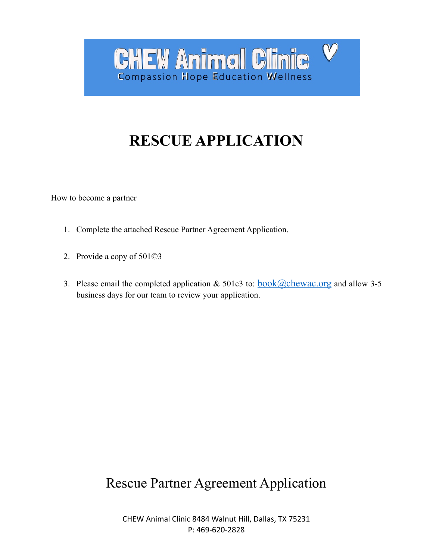# **RESCUE APPLICATION**

**CHEW Animal Clinic** 

**Compassion Hope Education Wellness** 

 $\bm{\mathcal{V}}$ 

How to become a partner

- 1. Complete the attached Rescue Partner Agreement Application.
- 2. Provide a copy of 501©3
- 3. Please email the completed application  $& 501c3$  to:  $book@chewac.org$  and allow 3-5</u> business days for our team to review your application.

## Rescue Partner Agreement Application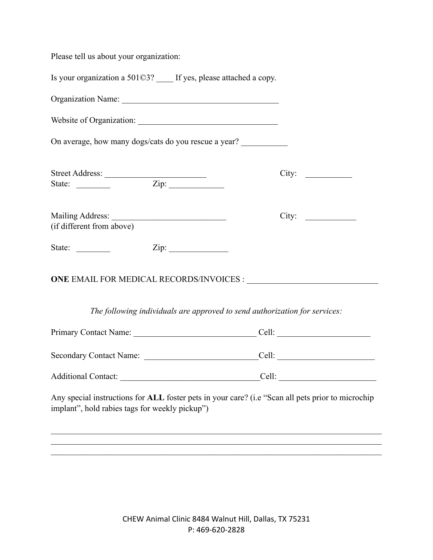Please tell us about your organization:

implant", hold rabies tags for weekly pickup")

Is your organization a 501©3? If yes, please attached a copy.

Organization Name: Website of Organization: \_\_\_\_\_\_\_\_\_\_\_\_\_\_\_\_\_\_\_\_\_\_\_\_\_\_\_\_\_\_\_\_\_ On average, how many dogs/cats do you rescue a year? Street Address: \_\_\_\_\_\_\_\_\_\_\_\_\_\_\_\_\_\_\_\_\_\_\_\_ City: \_\_\_\_\_\_\_\_\_\_\_ State: \_\_\_\_\_\_\_\_ Zip: \_\_\_\_\_\_\_\_\_\_\_\_\_ Mailing Address: \_\_\_\_\_\_\_\_\_\_\_\_\_\_\_\_\_\_\_\_\_\_\_\_\_\_\_ City: \_\_\_\_\_\_\_\_\_\_\_\_ (if different from above) State: \_\_\_\_\_\_\_\_ Zip: \_\_\_\_\_\_\_\_\_\_\_\_\_\_ **ONE EMAIL FOR MEDICAL RECORDS/INVOICES :** *The following individuals are approved to send authorization for services:* Primary Contact Name:  $\Box$  Cell:  $\Box$ Secondary Contact Name: <br>
econdary Contact Name:  $\qquad$  Cell:  $\qquad$ Additional Contact: \_\_\_\_\_\_\_\_\_\_\_\_\_\_\_\_\_\_\_\_\_\_\_\_\_\_\_\_\_\_\_\_\_Cell: \_\_\_\_\_\_\_\_\_\_\_\_\_\_\_\_\_\_\_\_\_\_\_ Any special instructions for **ALL** foster pets in your care? (i.e "Scan all pets prior to microchip

 $\mathcal{L}_\mathcal{L} = \{ \mathcal{L}_\mathcal{L} = \{ \mathcal{L}_\mathcal{L} = \{ \mathcal{L}_\mathcal{L} = \{ \mathcal{L}_\mathcal{L} = \{ \mathcal{L}_\mathcal{L} = \{ \mathcal{L}_\mathcal{L} = \{ \mathcal{L}_\mathcal{L} = \{ \mathcal{L}_\mathcal{L} = \{ \mathcal{L}_\mathcal{L} = \{ \mathcal{L}_\mathcal{L} = \{ \mathcal{L}_\mathcal{L} = \{ \mathcal{L}_\mathcal{L} = \{ \mathcal{L}_\mathcal{L} = \{ \mathcal{L}_\mathcal{$  $\mathcal{L}_\mathcal{L} = \{ \mathcal{L}_\mathcal{L} = \{ \mathcal{L}_\mathcal{L} = \{ \mathcal{L}_\mathcal{L} = \{ \mathcal{L}_\mathcal{L} = \{ \mathcal{L}_\mathcal{L} = \{ \mathcal{L}_\mathcal{L} = \{ \mathcal{L}_\mathcal{L} = \{ \mathcal{L}_\mathcal{L} = \{ \mathcal{L}_\mathcal{L} = \{ \mathcal{L}_\mathcal{L} = \{ \mathcal{L}_\mathcal{L} = \{ \mathcal{L}_\mathcal{L} = \{ \mathcal{L}_\mathcal{L} = \{ \mathcal{L}_\mathcal{$  $\mathcal{L}_\mathcal{L} = \{ \mathcal{L}_\mathcal{L} = \{ \mathcal{L}_\mathcal{L} = \{ \mathcal{L}_\mathcal{L} = \{ \mathcal{L}_\mathcal{L} = \{ \mathcal{L}_\mathcal{L} = \{ \mathcal{L}_\mathcal{L} = \{ \mathcal{L}_\mathcal{L} = \{ \mathcal{L}_\mathcal{L} = \{ \mathcal{L}_\mathcal{L} = \{ \mathcal{L}_\mathcal{L} = \{ \mathcal{L}_\mathcal{L} = \{ \mathcal{L}_\mathcal{L} = \{ \mathcal{L}_\mathcal{L} = \{ \mathcal{L}_\mathcal{$